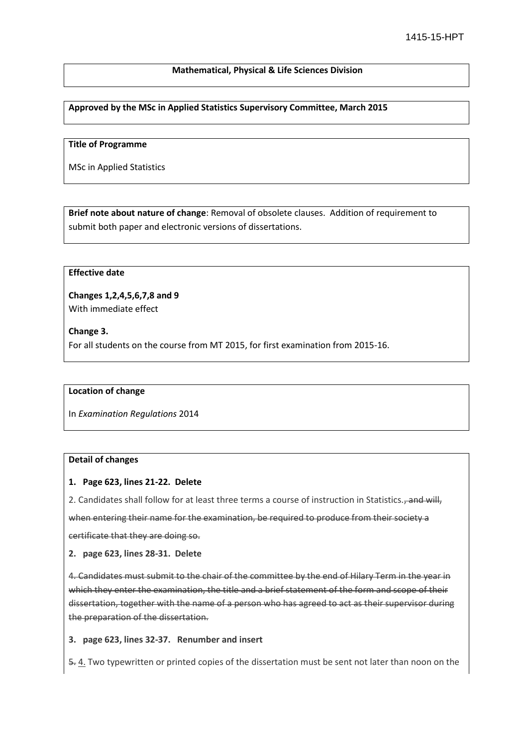### **Mathematical, Physical & Life Sciences Division**

### **Approved by the MSc in Applied Statistics Supervisory Committee, March 2015**

#### **Title of Programme**

MSc in Applied Statistics

**Brief note about nature of change**: Removal of obsolete clauses. Addition of requirement to submit both paper and electronic versions of dissertations.

# **Effective date**

**Changes 1,2,4,5,6,7,8 and 9**  With immediate effect

**Change 3.**

For all students on the course from MT 2015, for first examination from 2015-16.

#### **Location of change**

In *Examination Regulations* 2014

#### **Detail of changes**

#### **1. Page 623, lines 21-22. Delete**

2. Candidates shall follow for at least three terms a course of instruction in Statistics., and will, when entering their name for the examination, be required to produce from their society a certificate that they are doing so.

#### **2. page 623, lines 28-31. Delete**

4. Candidates must submit to the chair of the committee by the end of Hilary Term in the year in which they enter the examination, the title and a brief statement of the form and scope of their dissertation, together with the name of a person who has agreed to act as their supervisor during the preparation of the dissertation.

#### **3. page 623, lines 32-37. Renumber and insert**

5. 4. Two typewritten or printed copies of the dissertation must be sent not later than noon on the